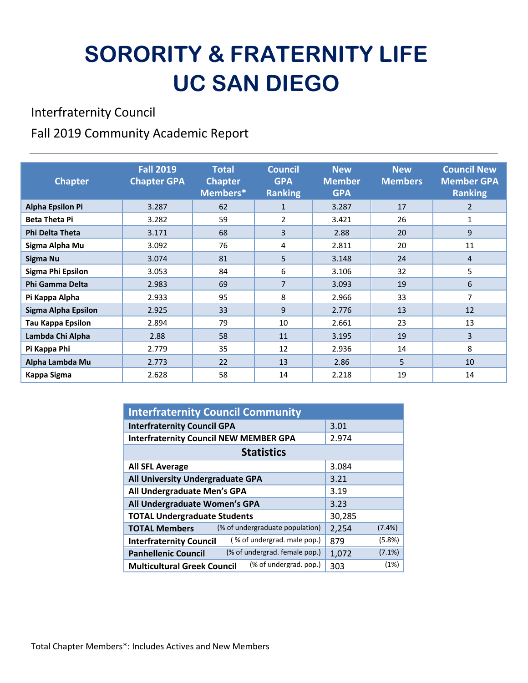# **SORORITY & FRATERNITY LIFE UC SAN DIEGO**

Interfraternity Council

#### Fall 2019 Community Academic Report

| <b>Chapter</b>             | <b>Fall 2019</b><br><b>Chapter GPA</b> | <b>Total</b><br><b>Chapter</b><br>Members* | <b>Council</b><br><b>GPA</b><br><b>Ranking</b> | <b>New</b><br><b>Member</b><br><b>GPA</b> | <b>New</b><br><b>Members</b> | <b>Council New</b><br><b>Member GPA</b><br><b>Ranking</b> |
|----------------------------|----------------------------------------|--------------------------------------------|------------------------------------------------|-------------------------------------------|------------------------------|-----------------------------------------------------------|
| <b>Alpha Epsilon Pi</b>    | 3.287                                  | 62                                         | $\mathbf{1}$                                   | 3.287                                     | 17                           | $\overline{2}$                                            |
| <b>Beta Theta Pi</b>       | 3.282                                  | 59                                         | $\overline{2}$                                 | 3.421                                     | 26                           | 1                                                         |
| <b>Phi Delta Theta</b>     | 3.171                                  | 68                                         | 3                                              | 2.88                                      | 20                           | 9                                                         |
| Sigma Alpha Mu             | 3.092                                  | 76                                         | 4                                              | 2.811                                     | 20                           | 11                                                        |
| Sigma Nu                   | 3.074                                  | 81                                         | 5                                              | 3.148                                     | 24                           | 4                                                         |
| Sigma Phi Epsilon          | 3.053                                  | 84                                         | 6                                              | 3.106                                     | 32                           | 5                                                         |
| Phi Gamma Delta            | 2.983                                  | 69                                         | $\overline{7}$                                 | 3.093                                     | 19                           | 6                                                         |
| Pi Kappa Alpha             | 2.933                                  | 95                                         | 8                                              | 2.966                                     | 33                           | 7                                                         |
| <b>Sigma Alpha Epsilon</b> | 2.925                                  | 33                                         | 9                                              | 2.776                                     | 13                           | 12                                                        |
| <b>Tau Kappa Epsilon</b>   | 2.894                                  | 79                                         | 10                                             | 2.661                                     | 23                           | 13                                                        |
| Lambda Chi Alpha           | 2.88                                   | 58                                         | 11                                             | 3.195                                     | 19                           | 3                                                         |
| Pi Kappa Phi               | 2.779                                  | 35                                         | 12                                             | 2.936                                     | 14                           | 8                                                         |
| Alpha Lambda Mu            | 2.773                                  | 22                                         | 13                                             | 2.86                                      | 5                            | 10                                                        |
| Kappa Sigma                | 2.628                                  | 58                                         | 14                                             | 2.218                                     | 19                           | 14                                                        |

| <b>Interfraternity Council Community</b>                      |        |           |  |  |
|---------------------------------------------------------------|--------|-----------|--|--|
| <b>Interfraternity Council GPA</b>                            | 3.01   |           |  |  |
| <b>Interfraternity Council NEW MEMBER GPA</b>                 | 2.974  |           |  |  |
| <b>Statistics</b>                                             |        |           |  |  |
| <b>All SFL Average</b>                                        | 3.084  |           |  |  |
| All University Undergraduate GPA                              | 3.21   |           |  |  |
| All Undergraduate Men's GPA                                   | 3.19   |           |  |  |
| All Undergraduate Women's GPA                                 | 3.23   |           |  |  |
| <b>TOTAL Undergraduate Students</b>                           | 30,285 |           |  |  |
| (% of undergraduate population)<br><b>TOTAL Members</b>       | 2,254  | $(7.4\%)$ |  |  |
| (% of undergrad. male pop.)<br><b>Interfraternity Council</b> | 879    | (5.8%)    |  |  |
| (% of undergrad. female pop.)<br><b>Panhellenic Council</b>   | 1,072  | $(7.1\%)$ |  |  |
| (% of undergrad. pop.)<br><b>Multicultural Greek Council</b>  | 303    | (1%)      |  |  |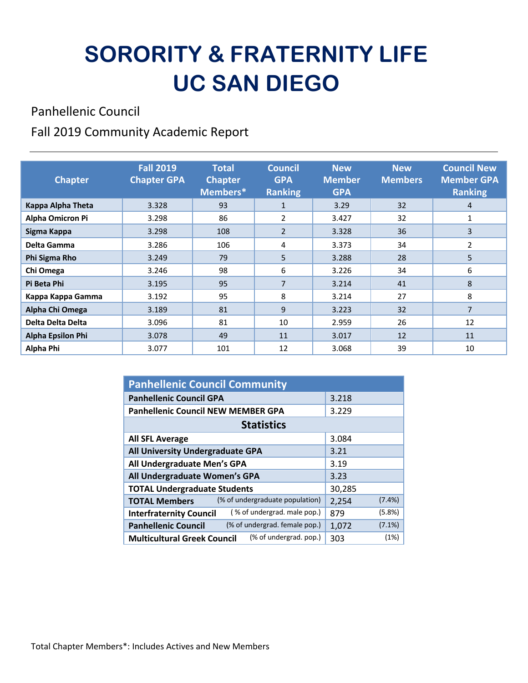# **SORORITY & FRATERNITY LIFE UC SAN DIEGO**

Panhellenic Council

Fall 2019 Community Academic Report

| <b>Chapter</b>           | <b>Fall 2019</b><br><b>Chapter GPA</b> | <b>Total</b><br><b>Chapter</b><br>Members* | <b>Council</b><br><b>GPA</b><br><b>Ranking</b> | <b>New</b><br><b>Member</b><br><b>GPA</b> | <b>New</b><br><b>Members</b> | <b>Council New</b><br><b>Member GPA</b><br><b>Ranking</b> |
|--------------------------|----------------------------------------|--------------------------------------------|------------------------------------------------|-------------------------------------------|------------------------------|-----------------------------------------------------------|
| Kappa Alpha Theta        | 3.328                                  | 93                                         | $\mathbf{1}$                                   | 3.29                                      | 32                           | 4                                                         |
| Alpha Omicron Pi         | 3.298                                  | 86                                         | 2                                              | 3.427                                     | 32                           | 1                                                         |
| Sigma Kappa              | 3.298                                  | 108                                        | $\overline{2}$                                 | 3.328                                     | 36                           | 3                                                         |
| Delta Gamma              | 3.286                                  | 106                                        | 4                                              | 3.373                                     | 34                           | $\overline{2}$                                            |
| Phi Sigma Rho            | 3.249                                  | 79                                         | 5                                              | 3.288                                     | 28                           | 5                                                         |
| Chi Omega                | 3.246                                  | 98                                         | 6                                              | 3.226                                     | 34                           | 6                                                         |
| Pi Beta Phi              | 3.195                                  | 95                                         | $\overline{7}$                                 | 3.214                                     | 41                           | 8                                                         |
| Kappa Kappa Gamma        | 3.192                                  | 95                                         | 8                                              | 3.214                                     | 27                           | 8                                                         |
| Alpha Chi Omega          | 3.189                                  | 81                                         | 9                                              | 3.223                                     | 32                           | 7                                                         |
| Delta Delta Delta        | 3.096                                  | 81                                         | 10                                             | 2.959                                     | 26                           | 12                                                        |
| <b>Alpha Epsilon Phi</b> | 3.078                                  | 49                                         | 11                                             | 3.017                                     | 12                           | 11                                                        |
| Alpha Phi                | 3.077                                  | 101                                        | 12                                             | 3.068                                     | 39                           | 10                                                        |

| <b>Panhellenic Council Community</b>                          |                    |  |  |  |
|---------------------------------------------------------------|--------------------|--|--|--|
| <b>Panhellenic Council GPA</b>                                | 3.218              |  |  |  |
| <b>Panhellenic Council NEW MEMBER GPA</b>                     | 3.229              |  |  |  |
| <b>Statistics</b>                                             |                    |  |  |  |
| <b>All SFL Average</b>                                        | 3.084              |  |  |  |
| All University Undergraduate GPA                              | 3.21               |  |  |  |
| All Undergraduate Men's GPA                                   | 3.19               |  |  |  |
| All Undergraduate Women's GPA                                 | 3.23               |  |  |  |
| <b>TOTAL Undergraduate Students</b>                           | 30,285             |  |  |  |
| (% of undergraduate population)<br><b>TOTAL Members</b>       | $(7.4\%)$<br>2,254 |  |  |  |
| (% of undergrad. male pop.)<br><b>Interfraternity Council</b> | (5.8%)<br>879      |  |  |  |
| (% of undergrad. female pop.)<br><b>Panhellenic Council</b>   | $(7.1\%)$<br>1,072 |  |  |  |
| (% of undergrad. pop.)<br><b>Multicultural Greek Council</b>  | (1%)<br>303        |  |  |  |